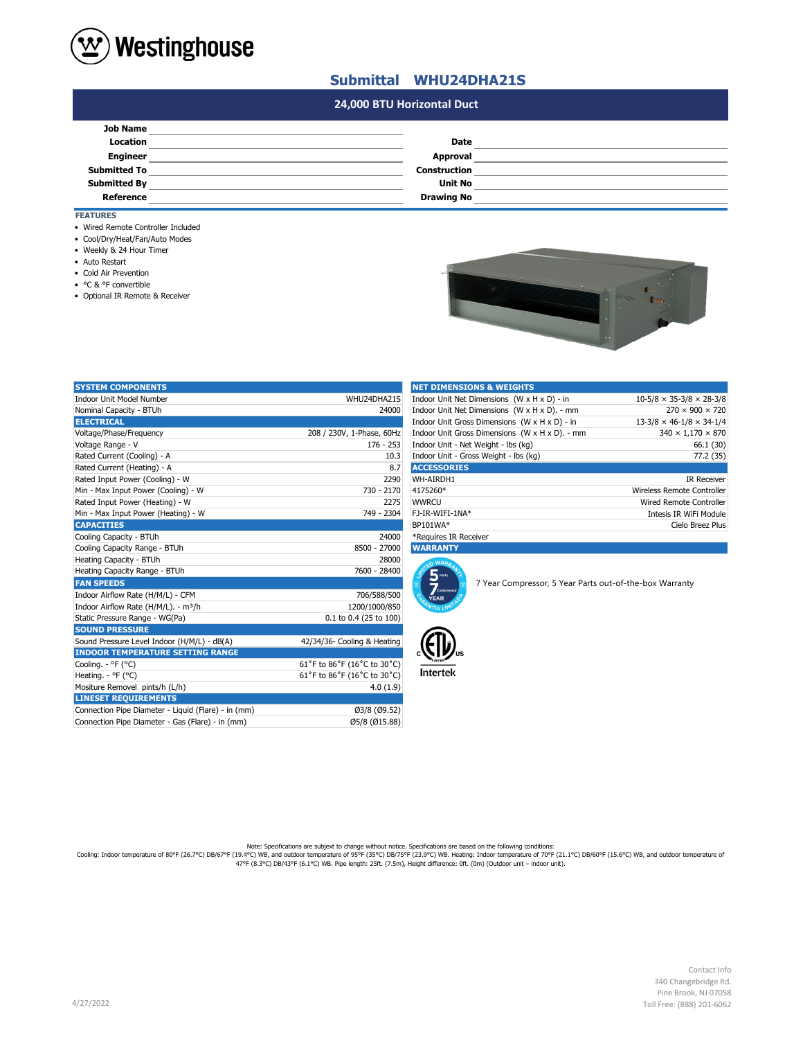

## **Submittal WHU24DHA21S**

## **#N/A 24,000 BTU Horizontal Duct**

| <b>Job Name</b>     |                     |  |
|---------------------|---------------------|--|
| Location            | <b>Date</b>         |  |
| <b>Engineer</b>     | Approval            |  |
| <b>Submitted To</b> | <b>Construction</b> |  |
| <b>Submitted By</b> | Unit No             |  |
| <b>Reference</b>    | <b>Drawing No</b>   |  |

### **FEATURES**

- Wired Remote Controller Included
- Cool/Dry/Heat/Fan/Auto Modes
- Weekly & 24 Hour Timer
- Auto Restart
- Cold Air Prevention
- °C & °F convertible
- Optional IR Remote & Receiver

|  | п<br>œ | n. |
|--|--------|----|
|  |        |    |

| <b>SYSTEM COMPONENTS</b>                            |                             | <b>NET DIMENSIONS &amp; WEIGHTS</b>                                                 |                                                         |                                      |
|-----------------------------------------------------|-----------------------------|-------------------------------------------------------------------------------------|---------------------------------------------------------|--------------------------------------|
| Indoor Unit Model Number                            | WHU24DHA21S                 | Indoor Unit Net Dimensions (W x H x D) - in<br>$10-5/8 \times 35-3/8 \times 28-3/8$ |                                                         |                                      |
| Nominal Capacity - BTUh                             | 24000                       |                                                                                     | Indoor Unit Net Dimensions (W x H x D). - mm            | $270 \times 900 \times 720$          |
| <b>ELECTRICAL</b>                                   |                             |                                                                                     | Indoor Unit Gross Dimensions (W x H x D) - in           | $13-3/8 \times 46-1/8 \times 34-1/4$ |
| Voltage/Phase/Frequency                             | 208 / 230V, 1-Phase, 60Hz   |                                                                                     | Indoor Unit Gross Dimensions (W x H x D). - mm          | $340 \times 1,170 \times 870$        |
| Voltage Range - V                                   | 176 - 253                   | Indoor Unit - Net Weight - lbs (kg)                                                 |                                                         | 66.1 (30)                            |
| Rated Current (Cooling) - A                         | 10.3                        | Indoor Unit - Gross Weight - Ibs (kg)                                               |                                                         | 77.2 (35)                            |
| Rated Current (Heating) - A                         | 8.7                         | <b>ACCESSORIES</b>                                                                  |                                                         |                                      |
| Rated Input Power (Cooling) - W                     | 2290                        | WH-AIRDH1                                                                           |                                                         | <b>IR Receiver</b>                   |
| Min - Max Input Power (Cooling) - W                 | 730 - 2170                  | 4175260*                                                                            |                                                         | Wireless Remote Controller           |
| Rated Input Power (Heating) - W                     | 2275                        | <b>WWRCU</b>                                                                        |                                                         | Wired Remote Controller              |
| Min - Max Input Power (Heating) - W                 | 749 - 2304                  | FJ-IR-WIFI-1NA*                                                                     |                                                         | Intesis IR WiFi Module               |
| <b>CAPACITIES</b>                                   |                             | BP101WA*                                                                            |                                                         | Cielo Breez Plus                     |
| Cooling Capacity - BTUh                             | 24000                       | *Requires IR Receiver                                                               |                                                         |                                      |
| Cooling Capacity Range - BTUh                       | 8500 - 27000                | <b>WARRANTY</b>                                                                     |                                                         |                                      |
| Heating Capacity - BTUh                             | 28000                       | n WARA                                                                              |                                                         |                                      |
| Heating Capacity Range - BTUh                       | 7600 - 28400                | $5$ Parts                                                                           |                                                         |                                      |
| <b>FAN SPEEDS</b>                                   |                             | ⇁                                                                                   | 7 Year Compressor, 5 Year Parts out-of-the-box Warranty |                                      |
| Indoor Airflow Rate (H/M/L) - CFM                   | 706/588/500                 | Compresso<br><b>YEAR</b>                                                            |                                                         |                                      |
| Indoor Airflow Rate (H/M/L). - m <sup>3</sup> /h    | 1200/1000/850               |                                                                                     |                                                         |                                      |
| Static Pressure Range - WG(Pa)                      | 0.1 to 0.4 (25 to 100)      |                                                                                     |                                                         |                                      |
| <b>SOUND PRESSURE</b>                               |                             |                                                                                     |                                                         |                                      |
| Sound Pressure Level Indoor (H/M/L) - dB(A)         | 42/34/36- Cooling & Heating |                                                                                     |                                                         |                                      |
| <b>INDOOR TEMPERATURE SETTING RANGE</b>             |                             |                                                                                     |                                                         |                                      |
| Cooling. - °F (°C)                                  | 61°F to 86°F (16°C to 30°C) |                                                                                     |                                                         |                                      |
| Heating. - °F (°C)                                  | 61°F to 86°F (16°C to 30°C) | <b>Intertek</b>                                                                     |                                                         |                                      |
| Mositure Removel pints/h (L/h)                      | 4.0(1.9)                    |                                                                                     |                                                         |                                      |
| <b>LINESET REQUIREMENTS</b>                         |                             |                                                                                     |                                                         |                                      |
| Connection Pipe Diameter - Liquid (Flare) - in (mm) | Ø3/8 (Ø9.52)                |                                                                                     |                                                         |                                      |
| Connection Pipe Diameter - Gas (Flare) - in (mm)    | Ø5/8 (Ø15.88)               |                                                                                     |                                                         |                                      |

| <b>NET DIMENSIONS &amp; WEIGHTS</b>            |                                      |  |
|------------------------------------------------|--------------------------------------|--|
| Indoor Unit Net Dimensions (W x H x D) - in    | $10-5/8 \times 35-3/8 \times 28-3/8$ |  |
| Indoor Unit Net Dimensions (W x H x D). - mm   | $270 \times 900 \times 720$          |  |
| Indoor Unit Gross Dimensions (W x H x D) - in  | $13-3/8 \times 46-1/8 \times 34-1/4$ |  |
| Indoor Unit Gross Dimensions (W x H x D). - mm | $340 \times 1,170 \times 870$        |  |
| Indoor Unit - Net Weight - Ibs (kg)            | 66.1 (30)                            |  |
| Indoor Unit - Gross Weight - Ibs (kg)          | 77.2 (35)                            |  |
| <b>ACCESSORIES</b>                             |                                      |  |
| WH-AIRDH1                                      | <b>IR Receiver</b>                   |  |
| 4175260*                                       | Wireless Remote Controller           |  |
| <b>WWRCU</b>                                   | <b>Wired Remote Controller</b>       |  |
| FJ-IR-WIFI-1NA*                                | Intesis IR WiFi Module               |  |
| BP101WA*                                       | Cielo Breez Plus                     |  |
| *Requires IR Receiver                          |                                      |  |





Note: Specifications are subjext to change without notice. Specifications are based on the following conditions:<br>Cooling: Indoor temperature of 80°F (26.7°C) DB/67°F (19.4°C) WB, and outdoor temperature of 90°F (21.1°C) DB